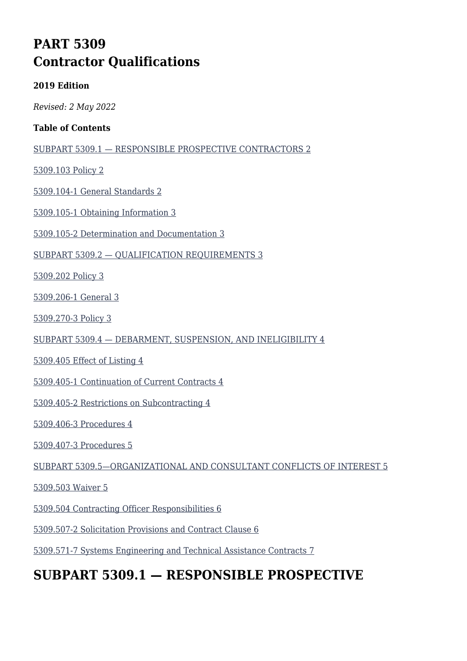# **PART 5309 Contractor Qualifications**

#### **2019 Edition**

*Revised: 2 May 2022*

#### **Table of Contents**

[SUBPART 5309.1 — RESPONSIBLE PROSPECTIVE CONTRACTORS 2](#page--1-0)

[5309.103 Policy 2](#page--1-0)

[5309.104-1 General Standards 2](#page--1-0)

[5309.105-1 Obtaining Information 3](#page--1-0)

[5309.105-2 Determination and Documentation 3](#page--1-0)

[SUBPART 5309.2 — QUALIFICATION REQUIREMENTS 3](#page--1-0)

[5309.202 Policy 3](#page--1-0)

[5309.206-1 General 3](#page--1-0)

[5309.270-3 Policy 3](#page--1-0)

[SUBPART 5309.4 — DEBARMENT, SUSPENSION, AND INELIGIBILITY 4](#page--1-0)

[5309.405 Effect of Listing 4](#page--1-0)

[5309.405-1 Continuation of Current Contracts 4](#page--1-0)

[5309.405-2 Restrictions on Subcontracting 4](#page--1-0)

[5309.406-3 Procedures 4](#page--1-0)

[5309.407-3 Procedures 5](#page--1-0)

[SUBPART 5309.5—ORGANIZATIONAL AND CONSULTANT CONFLICTS OF INTEREST 5](#page--1-0)

[5309.503 Waiver 5](#page--1-0)

[5309.504 Contracting Officer Responsibilities 6](#page--1-0)

[5309.507-2 Solicitation Provisions and Contract Clause 6](#page--1-0)

[5309.571-7 Systems Engineering and Technical Assistance Contracts 7](#page--1-0)

# **SUBPART 5309.1 — RESPONSIBLE PROSPECTIVE**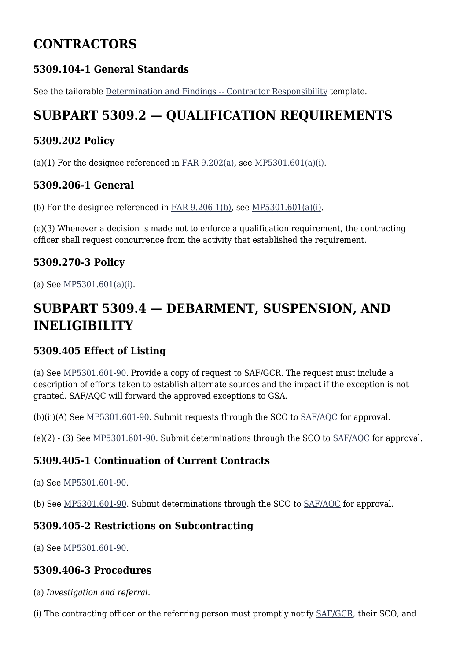# **CONTRACTORS**

### **5309.104-1 General Standards**

See the tailorable [Determination and Findings -- Contractor Responsibility](https://usaf.dps.mil/sites/AFCC/KnowledgeCenter/contracting_templates/contractor_responsibility.pdf) template.

# **SUBPART 5309.2 — QUALIFICATION REQUIREMENTS**

#### **5309.202 Policy**

(a)(1) For the designee referenced in [FAR 9.202\(a\)](https://www.acquisition.gov/far/part-9#FAR_9_202)*,* see [MP5301.601\(a\)\(i\)](https://origin-www.acquisition.gov/%5Brp:link:affars-mp-AFFARS-MP_PART-mp_5301.601(a)(i)%5D).

#### **5309.206-1 General**

(b) For the designee referenced in [FAR 9.206-1\(b\)](https://www.acquisition.gov/far/part-9#FAR_9_206_1)*,* see [MP5301.601\(a\)\(i\).](https://origin-www.acquisition.gov/%5Brp:link:affars-mp-AFFARS-MP_PART-mp_5301.601(a)(i)%5D)

(e)(3) Whenever a decision is made not to enforce a qualification requirement, the contracting officer shall request concurrence from the activity that established the requirement.

#### **5309.270-3 Policy**

(a) See [MP5301.601\(a\)\(i\)](https://origin-www.acquisition.gov/%5Brp:link:affars-mp-AFFARS-MP_PART-mp_5301.601(a)(i)%5D).

# **SUBPART 5309.4 — DEBARMENT, SUSPENSION, AND INELIGIBILITY**

#### **5309.405 Effect of Listing**

(a) See [MP5301.601-90.](https://origin-www.acquisition.gov/%5Brp:link:affars-mp-file:///%5C%5Cperiwinkle_vnx%5Csaf_aqc_org%5CAQCP%5C5640%20-%20AFFARS%5CArchive%20--%20AFACs%5C!_Previous%20AFACs%5C2022%5C2022%20(01)%5C2.%20%20Changes%20Accepted%5Cmp_5301.601-90%5D) Provide a copy of request to SAF/GCR. The request must include a description of efforts taken to establish alternate sources and the impact if the exception is not granted. SAF/AQC will forward the approved exceptions to GSA.

(b)(ii)(A) See [MP5301.601-90](https://origin-www.acquisition.gov/%5Brp:link:affars-mp-AFFARS-MP_PART-mp_5301.601-90%5D). Submit requests through the SCO to [SAF/AQC](mailto:SAF.AQ.SAF-AQC.Workflow@us.af.mil) for approval.

(e)(2) - (3) See [MP5301.601-90](https://origin-www.acquisition.gov/%5Brp:link:affars-mp-AFFARS-MP_PART-mp_5301.601-90%5D). Submit determinations through the SCO to [SAF/AQC](mailto:SAF.AQ.SAF-AQC.Workflow@us.af.mil) for approval.

#### **5309.405-1 Continuation of Current Contracts**

(a) See [MP5301.601-90.](https://origin-www.acquisition.gov/%5Brp:link:affars-mp-AFFARS-MP_PART-mp_5301.601-90%5D)

(b) See [MP5301.601-90](https://origin-www.acquisition.gov/%5Brp:link:affars-mp-file:///%5C%5Cperiwinkle_vnx%5Csaf_aqc_org%5CAQCP%5C5640%20-%20AFFARS%5CArchive%20--%20AFACs%5C!_Previous%20AFACs%5C2022%5C2022%20(01)%5C2.%20%20Changes%20Accepted%5Cmp_5301.601-90%5D). Submit determinations through the SCO to [SAF/AQC](mailto:SAF.AQ.SAF-AQC.Workflow@us.af.mil) for approval.

#### **5309.405-2 Restrictions on Subcontracting**

(a) See [MP5301.601-90.](https://origin-www.acquisition.gov/%5Brp:link:affars-mp-file:///%5C%5Cperiwinkle_vnx%5Csaf_aqc_org%5CAQCP%5C5640%20-%20AFFARS%5CArchive%20--%20AFACs%5C!_Previous%20AFACs%5C2022%5C2022%20(01)%5C2.%20%20Changes%20Accepted%5Cmp_5301.601-90%5D)

#### **5309.406-3 Procedures**

(a) *Investigation and referral*.

(i) The contracting officer or the referring person must promptly notify [SAF/GCR](mailto:SAF.GCR.Workflow@us.af.mil), their SCO, and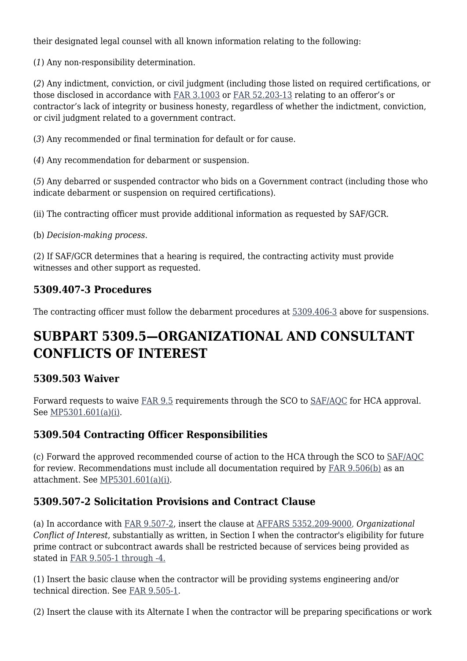their designated legal counsel with all known information relating to the following:

(*1*) Any non-responsibility determination.

(*2*) Any indictment, conviction, or civil judgment (including those listed on required certifications, or those disclosed in accordance with [FAR 3.1003](https://www.acquisition.gov/far/part-3#FAR_3_1003) or [FAR 52.203-13](https://www.acquisition.gov/far/part-52#FAR_52_203_13) relating to an offeror's or contractor's lack of integrity or business honesty, regardless of whether the indictment, conviction, or civil judgment related to a government contract.

(*3*) Any recommended or final termination for default or for cause.

(*4*) Any recommendation for debarment or suspension.

(*5*) Any debarred or suspended contractor who bids on a Government contract (including those who indicate debarment or suspension on required certifications).

(ii) The contracting officer must provide additional information as requested by SAF/GCR.

(b) *Decision-making process*.

(2) If SAF/GCR determines that a hearing is required, the contracting activity must provide witnesses and other support as requested.

### **5309.407-3 Procedures**

The contracting officer must follow the debarment procedures at [5309.406-3](#page--1-0) above for suspensions.

# **SUBPART 5309.5—ORGANIZATIONAL AND CONSULTANT CONFLICTS OF INTEREST**

#### **5309.503 Waiver**

Forward requests to waive [FAR 9.5](https://www.acquisition.gov/far/part-9#FAR_Subpart_9_5) requirements through the SCO to [SAF/AQC](mailto:SAF.AQ.SAF-AQC.Workflow@us.af.mil) for HCA approval. See [MP5301.601\(a\)\(i\).](https://origin-www.acquisition.gov/%5Brp:link:affars-mp-AFFARS-MP_PART-mp_5301.601(a)(i)%5D)

### **5309.504 Contracting Officer Responsibilities**

(c) Forward the approved recommended course of action to the HCA through the SCO to [SAF/AQC](mailto:SAF.AQ.SAF-AQC.Workflow@us.af.mil) for review. Recommendations must include all documentation required by [FAR 9.506\(b\)](https://www.acquisition.gov/far/part-9#FAR_9_506) as an attachment. See [MP5301.601\(a\)\(i\)](https://origin-www.acquisition.gov/%5Brp:link:affars-mp-AFFARS-MP_PART-mp_5301.601(a)(i)%5D).

### **5309.507-2 Solicitation Provisions and Contract Clause**

(a) In accordance with [FAR 9.507-2](https://www.acquisition.gov/far/part-9#FAR_9_507_2), insert the clause at [AFFARS 5352.209-9000](https://origin-www.acquisition.gov/%5Brp:link:affars-part-5352%5D#p53522099000), *Organizational Conflict of Interest*, substantially as written, in Section I when the contractor's eligibility for future prime contract or subcontract awards shall be restricted because of services being provided as stated in [FAR 9.505-1 through -4.](https://www.acquisition.gov/far/part-9#FAR_9_505_1)

(1) Insert the basic clause when the contractor will be providing systems engineering and/or technical direction. See [FAR 9.505-1](https://www.acquisition.gov/far/part-9#FAR_9_505_1).

(2) Insert the clause with its Alternate I when the contractor will be preparing specifications or work